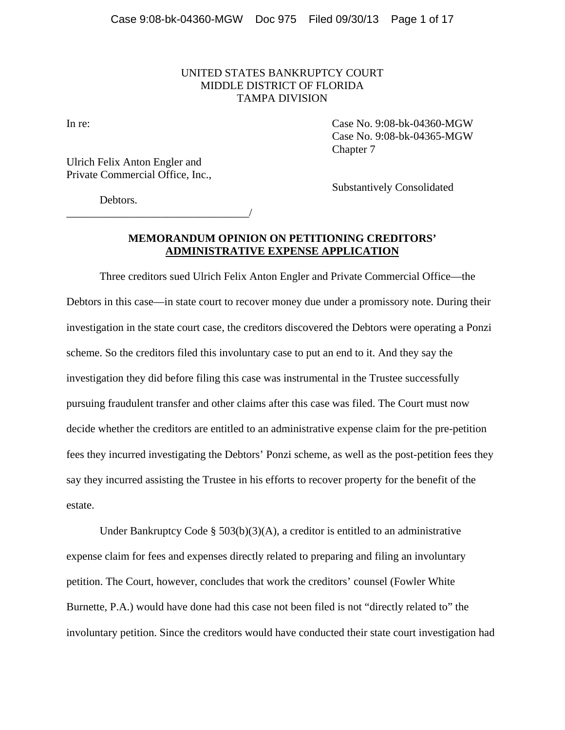## UNITED STATES BANKRUPTCY COURT MIDDLE DISTRICT OF FLORIDA TAMPA DIVISION

In re: Case No. 9:08-bk-04360-MGW Case No. 9:08-bk-04365-MGW Chapter 7

Ulrich Felix Anton Engler and Private Commercial Office, Inc.,

\_\_\_\_\_\_\_\_\_\_\_\_\_\_\_\_\_\_\_\_\_\_\_\_\_\_\_\_\_\_\_\_\_/

Substantively Consolidated

Debtors.

# **MEMORANDUM OPINION ON PETITIONING CREDITORS' ADMINISTRATIVE EXPENSE APPLICATION**

Three creditors sued Ulrich Felix Anton Engler and Private Commercial Office—the Debtors in this case—in state court to recover money due under a promissory note. During their investigation in the state court case, the creditors discovered the Debtors were operating a Ponzi scheme. So the creditors filed this involuntary case to put an end to it. And they say the investigation they did before filing this case was instrumental in the Trustee successfully pursuing fraudulent transfer and other claims after this case was filed. The Court must now decide whether the creditors are entitled to an administrative expense claim for the pre-petition fees they incurred investigating the Debtors' Ponzi scheme, as well as the post-petition fees they say they incurred assisting the Trustee in his efforts to recover property for the benefit of the estate.

Under Bankruptcy Code § 503(b)(3)(A), a creditor is entitled to an administrative expense claim for fees and expenses directly related to preparing and filing an involuntary petition. The Court, however, concludes that work the creditors' counsel (Fowler White Burnette, P.A.) would have done had this case not been filed is not "directly related to" the involuntary petition. Since the creditors would have conducted their state court investigation had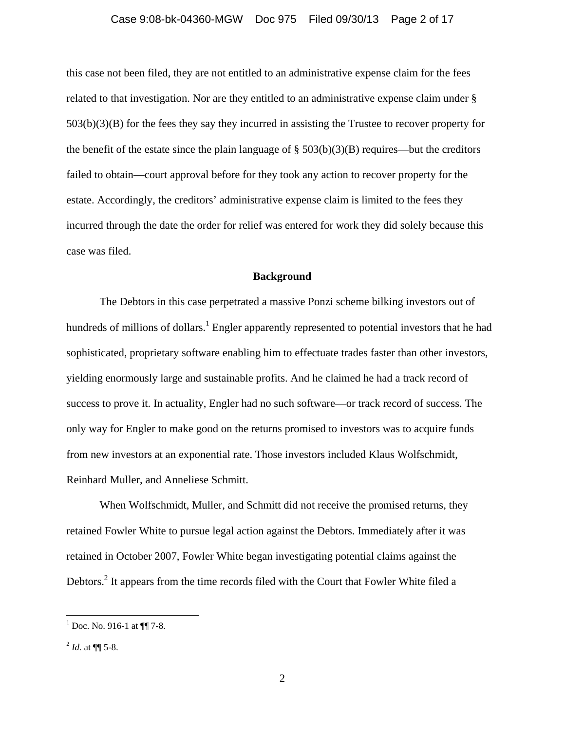#### Case 9:08-bk-04360-MGW Doc 975 Filed 09/30/13 Page 2 of 17

this case not been filed, they are not entitled to an administrative expense claim for the fees related to that investigation. Nor are they entitled to an administrative expense claim under § 503(b)(3)(B) for the fees they say they incurred in assisting the Trustee to recover property for the benefit of the estate since the plain language of  $\S$  503(b)(3)(B) requires—but the creditors failed to obtain—court approval before for they took any action to recover property for the estate. Accordingly, the creditors' administrative expense claim is limited to the fees they incurred through the date the order for relief was entered for work they did solely because this case was filed.

## **Background**

The Debtors in this case perpetrated a massive Ponzi scheme bilking investors out of hundreds of millions of dollars.<sup>1</sup> Engler apparently represented to potential investors that he had sophisticated, proprietary software enabling him to effectuate trades faster than other investors, yielding enormously large and sustainable profits. And he claimed he had a track record of success to prove it. In actuality, Engler had no such software—or track record of success. The only way for Engler to make good on the returns promised to investors was to acquire funds from new investors at an exponential rate. Those investors included Klaus Wolfschmidt, Reinhard Muller, and Anneliese Schmitt.

When Wolfschmidt, Muller, and Schmitt did not receive the promised returns, they retained Fowler White to pursue legal action against the Debtors. Immediately after it was retained in October 2007, Fowler White began investigating potential claims against the Debtors.<sup>2</sup> It appears from the time records filed with the Court that Fowler White filed a

 $1$  Doc. No. 916-1 at  $\P\P$  7-8.

 $^{2}$  *Id.* at  $\P$  5-8.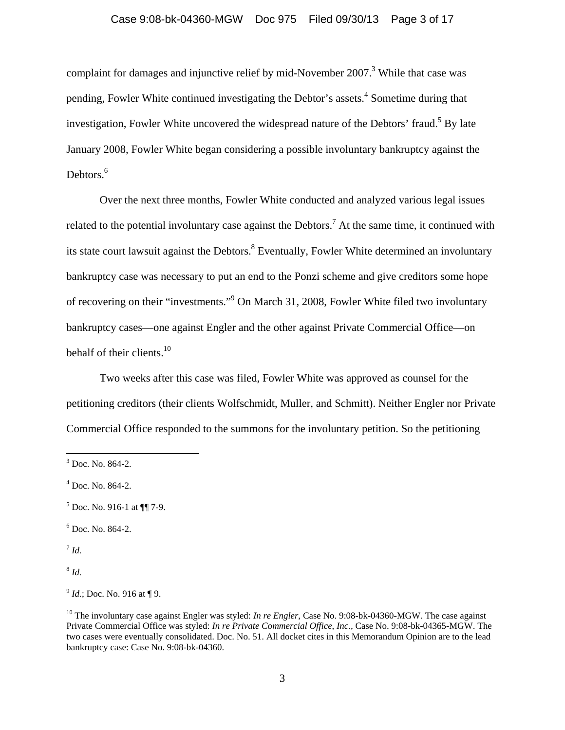## Case 9:08-bk-04360-MGW Doc 975 Filed 09/30/13 Page 3 of 17

complaint for damages and injunctive relief by mid-November  $2007$ .<sup>3</sup> While that case was pending, Fowler White continued investigating the Debtor's assets.<sup>4</sup> Sometime during that investigation, Fowler White uncovered the widespread nature of the Debtors' fraud.<sup>5</sup> By late January 2008, Fowler White began considering a possible involuntary bankruptcy against the Debtors.<sup>6</sup>

Over the next three months, Fowler White conducted and analyzed various legal issues related to the potential involuntary case against the Debtors.<sup>7</sup> At the same time, it continued with its state court lawsuit against the Debtors.<sup>8</sup> Eventually, Fowler White determined an involuntary bankruptcy case was necessary to put an end to the Ponzi scheme and give creditors some hope of recovering on their "investments."<sup>9</sup> On March 31, 2008, Fowler White filed two involuntary bankruptcy cases—one against Engler and the other against Private Commercial Office—on behalf of their clients.<sup>10</sup>

Two weeks after this case was filed, Fowler White was approved as counsel for the petitioning creditors (their clients Wolfschmidt, Muller, and Schmitt). Neither Engler nor Private Commercial Office responded to the summons for the involuntary petition. So the petitioning

6 Doc. No. 864-2.

<sup>7</sup> *Id.*

 $3$  Doc. No. 864-2.

<sup>4</sup> Doc. No. 864-2.

 $<sup>5</sup>$  Doc. No. 916-1 at  $\P$ [| 7-9.</sup>

 $^{9}$  *Id.*; Doc. No. 916 at ¶ 9.

<sup>&</sup>lt;sup>10</sup> The involuntary case against Engler was styled: *In re Engler*, Case No. 9:08-bk-04360-MGW. The case against Private Commercial Office was styled: *In re Private Commercial Office*, *Inc.,* Case No. 9:08-bk-04365-MGW. The two cases were eventually consolidated. Doc. No. 51. All docket cites in this Memorandum Opinion are to the lead bankruptcy case: Case No. 9:08-bk-04360.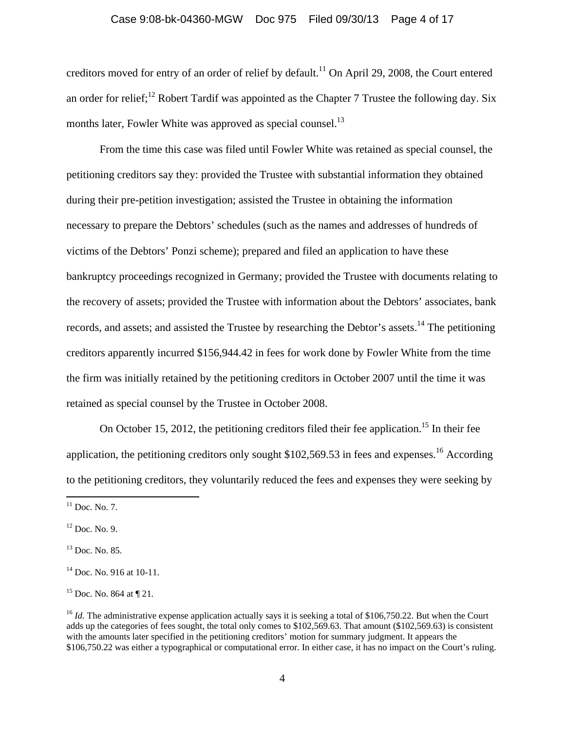## Case 9:08-bk-04360-MGW Doc 975 Filed 09/30/13 Page 4 of 17

creditors moved for entry of an order of relief by default.<sup>11</sup> On April 29, 2008, the Court entered an order for relief;<sup>12</sup> Robert Tardif was appointed as the Chapter 7 Trustee the following day. Six months later, Fowler White was approved as special counsel.<sup>13</sup>

From the time this case was filed until Fowler White was retained as special counsel, the petitioning creditors say they: provided the Trustee with substantial information they obtained during their pre-petition investigation; assisted the Trustee in obtaining the information necessary to prepare the Debtors' schedules (such as the names and addresses of hundreds of victims of the Debtors' Ponzi scheme); prepared and filed an application to have these bankruptcy proceedings recognized in Germany; provided the Trustee with documents relating to the recovery of assets; provided the Trustee with information about the Debtors' associates, bank records, and assets; and assisted the Trustee by researching the Debtor's assets.<sup>14</sup> The petitioning creditors apparently incurred \$156,944.42 in fees for work done by Fowler White from the time the firm was initially retained by the petitioning creditors in October 2007 until the time it was retained as special counsel by the Trustee in October 2008.

On October 15, 2012, the petitioning creditors filed their fee application.<sup>15</sup> In their fee application, the petitioning creditors only sought  $$102,569.53$  in fees and expenses.<sup>16</sup> According to the petitioning creditors, they voluntarily reduced the fees and expenses they were seeking by

 $11$  Doc. No. 7.

 $12$  Doc. No. 9.

 $13$  Doc. No. 85.

 $14$  Doc. No. 916 at 10-11.

<sup>&</sup>lt;sup>15</sup> Doc. No. 864 at  $\P$  21.

<sup>&</sup>lt;sup>16</sup> *Id.* The administrative expense application actually says it is seeking a total of \$106,750.22. But when the Court adds up the categories of fees sought, the total only comes to \$102,569.63. That amount (\$102,569.63) is consistent with the amounts later specified in the petitioning creditors' motion for summary judgment. It appears the \$106,750.22 was either a typographical or computational error. In either case, it has no impact on the Court's ruling.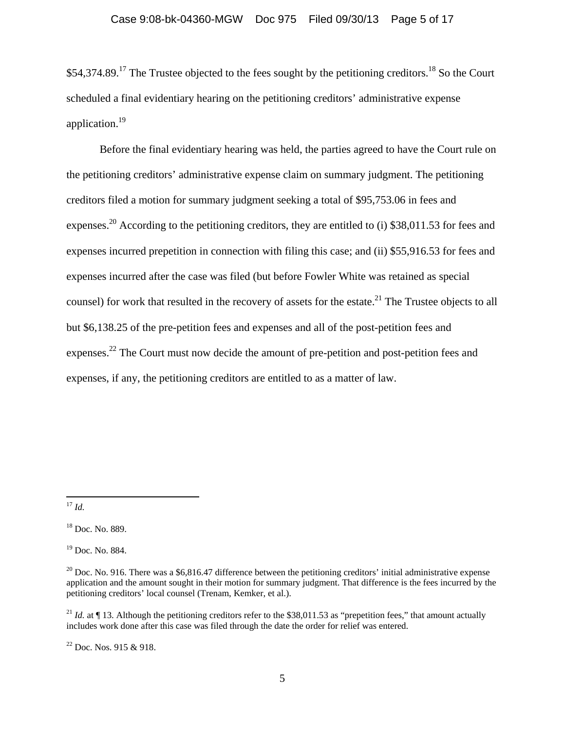\$54,374.89.<sup>17</sup> The Trustee objected to the fees sought by the petitioning creditors.<sup>18</sup> So the Court scheduled a final evidentiary hearing on the petitioning creditors' administrative expense application.19

Before the final evidentiary hearing was held, the parties agreed to have the Court rule on the petitioning creditors' administrative expense claim on summary judgment. The petitioning creditors filed a motion for summary judgment seeking a total of \$95,753.06 in fees and expenses.<sup>20</sup> According to the petitioning creditors, they are entitled to (i) \$38,011.53 for fees and expenses incurred prepetition in connection with filing this case; and (ii) \$55,916.53 for fees and expenses incurred after the case was filed (but before Fowler White was retained as special counsel) for work that resulted in the recovery of assets for the estate.<sup>21</sup> The Trustee objects to all but \$6,138.25 of the pre-petition fees and expenses and all of the post-petition fees and expenses.<sup>22</sup> The Court must now decide the amount of pre-petition and post-petition fees and expenses, if any, the petitioning creditors are entitled to as a matter of law.

 <sup>17</sup> *Id.*

<sup>18</sup> Doc. No. 889.

<sup>&</sup>lt;sup>19</sup> Doc. No. 884.

<sup>&</sup>lt;sup>20</sup> Doc. No. 916. There was a \$6,816.47 difference between the petitioning creditors' initial administrative expense application and the amount sought in their motion for summary judgment. That difference is the fees incurred by the petitioning creditors' local counsel (Trenam, Kemker, et al.).

<sup>&</sup>lt;sup>21</sup> *Id.* at  $\P$  13. Although the petitioning creditors refer to the \$38,011.53 as "prepetition fees," that amount actually includes work done after this case was filed through the date the order for relief was entered.

 $22$  Doc. Nos. 915 & 918.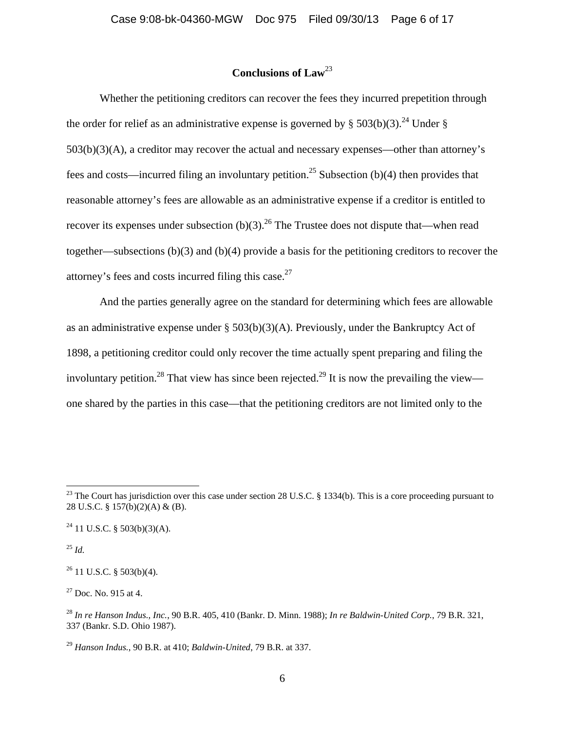# **Conclusions of Law**<sup>23</sup>

Whether the petitioning creditors can recover the fees they incurred prepetition through the order for relief as an administrative expense is governed by § 503(b)(3).<sup>24</sup> Under § 503(b)(3)(A), a creditor may recover the actual and necessary expenses—other than attorney's fees and costs—incurred filing an involuntary petition.<sup>25</sup> Subsection (b)(4) then provides that reasonable attorney's fees are allowable as an administrative expense if a creditor is entitled to recover its expenses under subsection (b)(3).<sup>26</sup> The Trustee does not dispute that—when read together—subsections (b)(3) and (b)(4) provide a basis for the petitioning creditors to recover the attorney's fees and costs incurred filing this case. $27$ 

And the parties generally agree on the standard for determining which fees are allowable as an administrative expense under  $\S$  503(b)(3)(A). Previously, under the Bankruptcy Act of 1898, a petitioning creditor could only recover the time actually spent preparing and filing the involuntary petition.<sup>28</sup> That view has since been rejected.<sup>29</sup> It is now the prevailing the view one shared by the parties in this case—that the petitioning creditors are not limited only to the

<sup>25</sup> *Id.*

 $26$  11 U.S.C. § 503(b)(4).

 $27$  Doc. No. 915 at 4.

<sup>&</sup>lt;sup>23</sup> The Court has jurisdiction over this case under section 28 U.S.C. § 1334(b). This is a core proceeding pursuant to 28 U.S.C. § 157(b)(2)(A) & (B).

 $24$  11 U.S.C. § 503(b)(3)(A).

<sup>28</sup> *In re Hanson Indus., Inc.*, 90 B.R. 405, 410 (Bankr. D. Minn. 1988); *In re Baldwin-United Corp.*, 79 B.R. 321, 337 (Bankr. S.D. Ohio 1987).

<sup>29</sup> *Hanson Indus.*, 90 B.R. at 410; *Baldwin-United*, 79 B.R. at 337.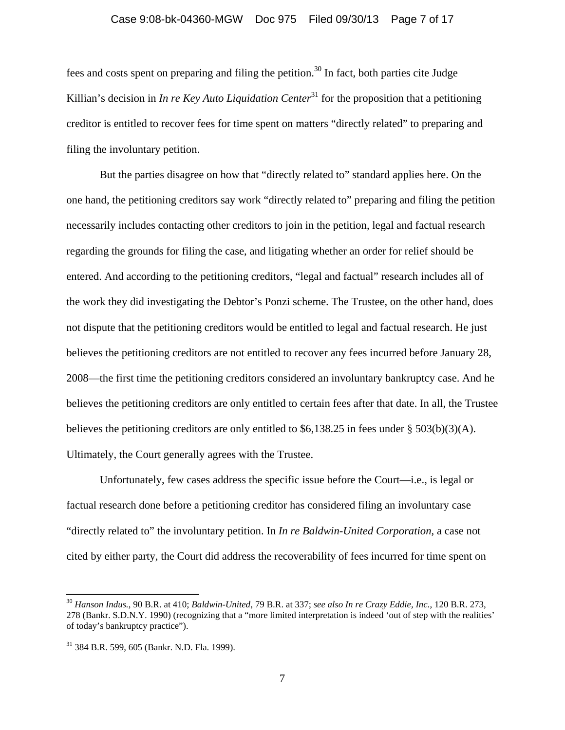#### Case 9:08-bk-04360-MGW Doc 975 Filed 09/30/13 Page 7 of 17

fees and costs spent on preparing and filing the petition.<sup>30</sup> In fact, both parties cite Judge Killian's decision in *In re Key Auto Liquidation Center*<sup>31</sup> for the proposition that a petitioning creditor is entitled to recover fees for time spent on matters "directly related" to preparing and filing the involuntary petition.

But the parties disagree on how that "directly related to" standard applies here. On the one hand, the petitioning creditors say work "directly related to" preparing and filing the petition necessarily includes contacting other creditors to join in the petition, legal and factual research regarding the grounds for filing the case, and litigating whether an order for relief should be entered. And according to the petitioning creditors, "legal and factual" research includes all of the work they did investigating the Debtor's Ponzi scheme. The Trustee, on the other hand, does not dispute that the petitioning creditors would be entitled to legal and factual research. He just believes the petitioning creditors are not entitled to recover any fees incurred before January 28, 2008—the first time the petitioning creditors considered an involuntary bankruptcy case. And he believes the petitioning creditors are only entitled to certain fees after that date. In all, the Trustee believes the petitioning creditors are only entitled to \$6,138.25 in fees under § 503(b)(3)(A). Ultimately, the Court generally agrees with the Trustee.

Unfortunately, few cases address the specific issue before the Court—i.e., is legal or factual research done before a petitioning creditor has considered filing an involuntary case "directly related to" the involuntary petition. In *In re Baldwin-United Corporation*, a case not cited by either party, the Court did address the recoverability of fees incurred for time spent on

<sup>30</sup> *Hanson Indus.*, 90 B.R. at 410; *Baldwin-United*, 79 B.R. at 337; *see also In re Crazy Eddie, Inc.*, 120 B.R. 273, 278 (Bankr. S.D.N.Y. 1990) (recognizing that a "more limited interpretation is indeed 'out of step with the realities' of today's bankruptcy practice").

<sup>31 384</sup> B.R. 599, 605 (Bankr. N.D. Fla. 1999).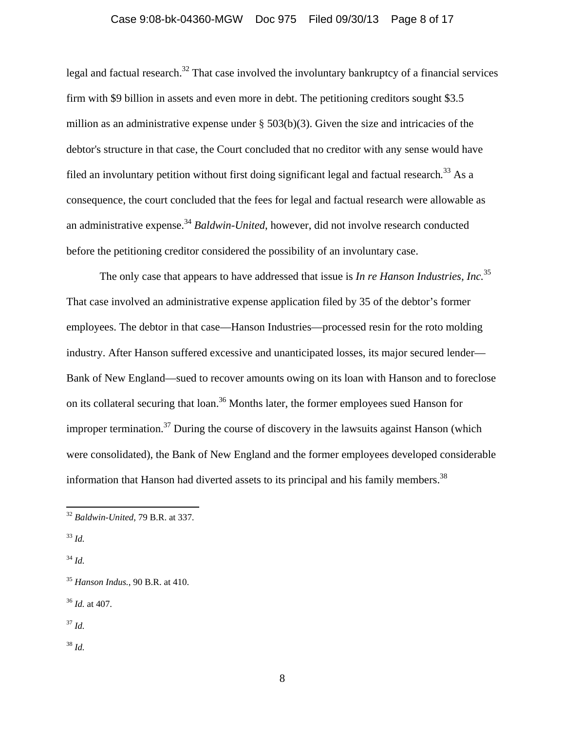## Case 9:08-bk-04360-MGW Doc 975 Filed 09/30/13 Page 8 of 17

legal and factual research.<sup>32</sup> That case involved the involuntary bankruptcy of a financial services firm with \$9 billion in assets and even more in debt. The petitioning creditors sought \$3.5 million as an administrative expense under  $\S$  503(b)(3). Given the size and intricacies of the debtor's structure in that case, the Court concluded that no creditor with any sense would have filed an involuntary petition without first doing significant legal and factual research*.* <sup>33</sup> As a consequence, the court concluded that the fees for legal and factual research were allowable as an administrative expense.<sup>34</sup> *Baldwin-United*, however, did not involve research conducted before the petitioning creditor considered the possibility of an involuntary case.

The only case that appears to have addressed that issue is *In re Hanson Industries, Inc.*<sup>35</sup> That case involved an administrative expense application filed by 35 of the debtor's former employees. The debtor in that case—Hanson Industries—processed resin for the roto molding industry. After Hanson suffered excessive and unanticipated losses, its major secured lender— Bank of New England—sued to recover amounts owing on its loan with Hanson and to foreclose on its collateral securing that loan.<sup>36</sup> Months later, the former employees sued Hanson for improper termination.<sup>37</sup> During the course of discovery in the lawsuits against Hanson (which were consolidated), the Bank of New England and the former employees developed considerable information that Hanson had diverted assets to its principal and his family members.<sup>38</sup>

<sup>34</sup> *Id.*

<sup>37</sup> *Id.*

 <sup>32</sup> *Baldwin-United*, 79 B.R. at 337.

<sup>33</sup> *Id.*

<sup>35</sup> *Hanson Indus.*, 90 B.R. at 410.

<sup>36</sup> *Id.* at 407.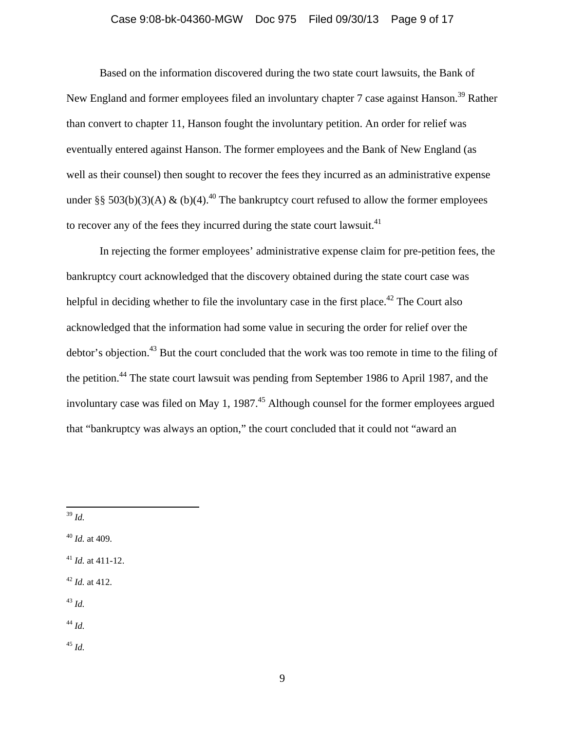## Case 9:08-bk-04360-MGW Doc 975 Filed 09/30/13 Page 9 of 17

Based on the information discovered during the two state court lawsuits, the Bank of New England and former employees filed an involuntary chapter 7 case against Hanson.<sup>39</sup> Rather than convert to chapter 11, Hanson fought the involuntary petition. An order for relief was eventually entered against Hanson. The former employees and the Bank of New England (as well as their counsel) then sought to recover the fees they incurred as an administrative expense under §§ 503(b)(3)(A) & (b)(4).<sup>40</sup> The bankruptcy court refused to allow the former employees to recover any of the fees they incurred during the state court lawsuit.<sup>41</sup>

In rejecting the former employees' administrative expense claim for pre-petition fees, the bankruptcy court acknowledged that the discovery obtained during the state court case was helpful in deciding whether to file the involuntary case in the first place.<sup> $42$ </sup> The Court also acknowledged that the information had some value in securing the order for relief over the debtor's objection.<sup>43</sup> But the court concluded that the work was too remote in time to the filing of the petition.<sup>44</sup> The state court lawsuit was pending from September 1986 to April 1987, and the involuntary case was filed on May 1, 1987.<sup>45</sup> Although counsel for the former employees argued that "bankruptcy was always an option," the court concluded that it could not "award an

<sup>43</sup> *Id.*

<sup>44</sup> *Id.*

<sup>39</sup> *Id.*

<sup>40</sup> *Id.* at 409.

<sup>41</sup> *Id.* at 411-12.

<sup>42</sup> *Id.* at 412.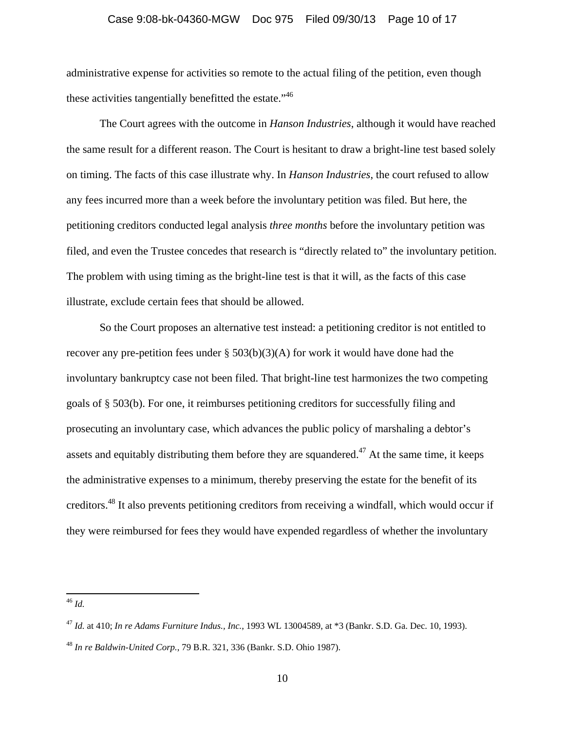#### Case 9:08-bk-04360-MGW Doc 975 Filed 09/30/13 Page 10 of 17

administrative expense for activities so remote to the actual filing of the petition, even though these activities tangentially benefitted the estate."<sup>46</sup>

The Court agrees with the outcome in *Hanson Industries*, although it would have reached the same result for a different reason. The Court is hesitant to draw a bright-line test based solely on timing. The facts of this case illustrate why. In *Hanson Industries*, the court refused to allow any fees incurred more than a week before the involuntary petition was filed. But here, the petitioning creditors conducted legal analysis *three months* before the involuntary petition was filed, and even the Trustee concedes that research is "directly related to" the involuntary petition. The problem with using timing as the bright-line test is that it will, as the facts of this case illustrate, exclude certain fees that should be allowed.

So the Court proposes an alternative test instead: a petitioning creditor is not entitled to recover any pre-petition fees under  $\S 503(b)(3)(A)$  for work it would have done had the involuntary bankruptcy case not been filed. That bright-line test harmonizes the two competing goals of § 503(b). For one, it reimburses petitioning creditors for successfully filing and prosecuting an involuntary case, which advances the public policy of marshaling a debtor's assets and equitably distributing them before they are squandered.<sup>47</sup> At the same time, it keeps the administrative expenses to a minimum, thereby preserving the estate for the benefit of its creditors.48 It also prevents petitioning creditors from receiving a windfall, which would occur if they were reimbursed for fees they would have expended regardless of whether the involuntary

<sup>47</sup> *Id.* at 410; *In re Adams Furniture Indus., Inc.*, 1993 WL 13004589, at \*3 (Bankr. S.D. Ga. Dec. 10, 1993).

<sup>48</sup> *In re Baldwin-United Corp.*, 79 B.R. 321, 336 (Bankr. S.D. Ohio 1987).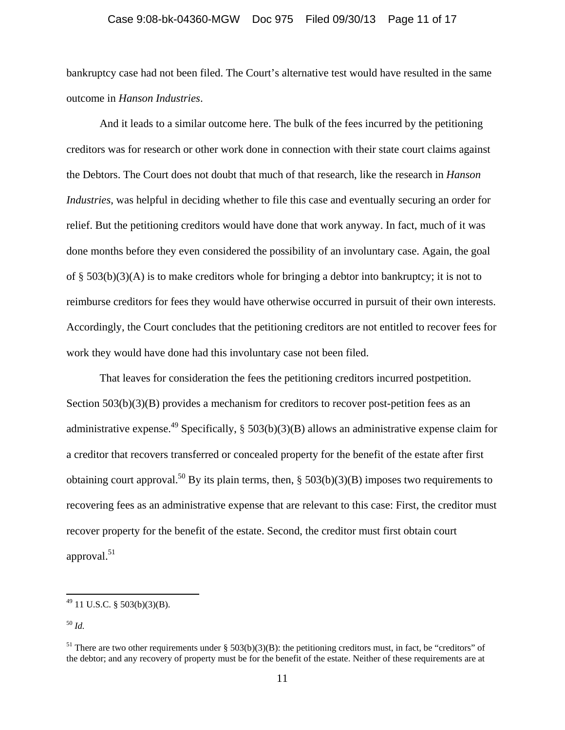#### Case 9:08-bk-04360-MGW Doc 975 Filed 09/30/13 Page 11 of 17

bankruptcy case had not been filed. The Court's alternative test would have resulted in the same outcome in *Hanson Industries*.

And it leads to a similar outcome here. The bulk of the fees incurred by the petitioning creditors was for research or other work done in connection with their state court claims against the Debtors. The Court does not doubt that much of that research, like the research in *Hanson Industries*, was helpful in deciding whether to file this case and eventually securing an order for relief. But the petitioning creditors would have done that work anyway. In fact, much of it was done months before they even considered the possibility of an involuntary case. Again, the goal of  $\S$  503(b)(3)(A) is to make creditors whole for bringing a debtor into bankruptcy; it is not to reimburse creditors for fees they would have otherwise occurred in pursuit of their own interests. Accordingly, the Court concludes that the petitioning creditors are not entitled to recover fees for work they would have done had this involuntary case not been filed.

That leaves for consideration the fees the petitioning creditors incurred postpetition. Section  $503(b)(3)(B)$  provides a mechanism for creditors to recover post-petition fees as an administrative expense.<sup>49</sup> Specifically, § 503(b)(3)(B) allows an administrative expense claim for a creditor that recovers transferred or concealed property for the benefit of the estate after first obtaining court approval.<sup>50</sup> By its plain terms, then,  $\S$  503(b)(3)(B) imposes two requirements to recovering fees as an administrative expense that are relevant to this case: First, the creditor must recover property for the benefit of the estate. Second, the creditor must first obtain court approval. $51$ 

 $^{49}$  11 U.S.C. § 503(b)(3)(B).

<sup>50</sup> *Id.*

<sup>&</sup>lt;sup>51</sup> There are two other requirements under § 503(b)(3)(B): the petitioning creditors must, in fact, be "creditors" of the debtor; and any recovery of property must be for the benefit of the estate. Neither of these requirements are at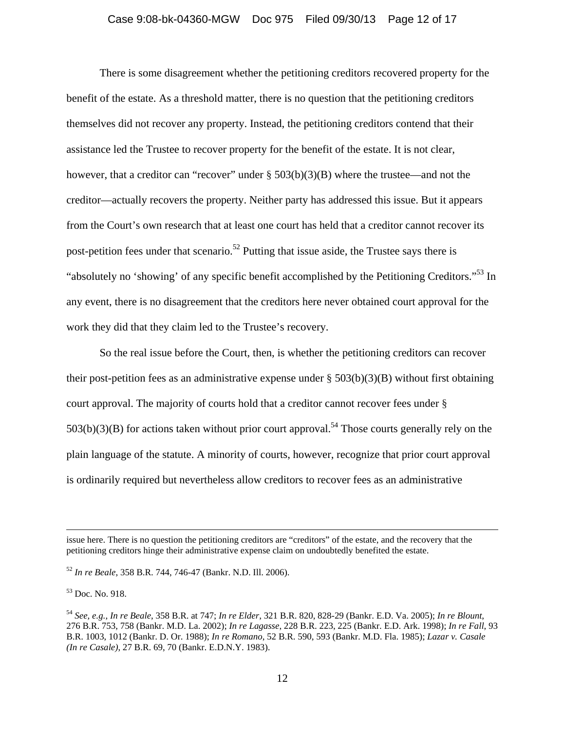## Case 9:08-bk-04360-MGW Doc 975 Filed 09/30/13 Page 12 of 17

There is some disagreement whether the petitioning creditors recovered property for the benefit of the estate. As a threshold matter, there is no question that the petitioning creditors themselves did not recover any property. Instead, the petitioning creditors contend that their assistance led the Trustee to recover property for the benefit of the estate. It is not clear, however, that a creditor can "recover" under § 503(b)(3)(B) where the trustee—and not the creditor—actually recovers the property. Neither party has addressed this issue. But it appears from the Court's own research that at least one court has held that a creditor cannot recover its post-petition fees under that scenario.<sup>52</sup> Putting that issue aside, the Trustee says there is "absolutely no 'showing' of any specific benefit accomplished by the Petitioning Creditors."53 In any event, there is no disagreement that the creditors here never obtained court approval for the work they did that they claim led to the Trustee's recovery.

So the real issue before the Court, then, is whether the petitioning creditors can recover their post-petition fees as an administrative expense under  $\S 503(b)(3)(B)$  without first obtaining court approval. The majority of courts hold that a creditor cannot recover fees under §  $503(b)(3)(B)$  for actions taken without prior court approval.<sup>54</sup> Those courts generally rely on the plain language of the statute. A minority of courts, however, recognize that prior court approval is ordinarily required but nevertheless allow creditors to recover fees as an administrative

<u> 1989 - Johann Stoff, amerikansk politiker (d. 1989)</u>

issue here. There is no question the petitioning creditors are "creditors" of the estate, and the recovery that the petitioning creditors hinge their administrative expense claim on undoubtedly benefited the estate.

<sup>52</sup> *In re Beale*, 358 B.R. 744, 746-47 (Bankr. N.D. Ill. 2006).

<sup>53</sup> Doc. No. 918.

<sup>54</sup> *See, e.g., In re Beale*, 358 B.R. at 747; *In re Elder*, 321 B.R. 820, 828-29 (Bankr. E.D. Va. 2005); *In re Blount*, 276 B.R. 753, 758 (Bankr. M.D. La. 2002); *In re Lagasse*, 228 B.R. 223, 225 (Bankr. E.D. Ark. 1998); *In re Fall*, 93 B.R. 1003, 1012 (Bankr. D. Or. 1988); *In re Romano*, 52 B.R. 590, 593 (Bankr. M.D. Fla. 1985); *Lazar v. Casale (In re Casale)*, 27 B.R. 69, 70 (Bankr. E.D.N.Y. 1983).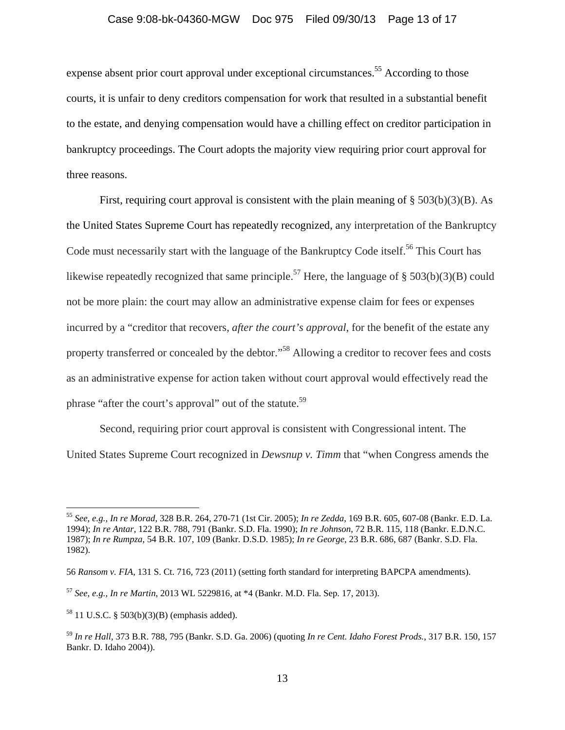## Case 9:08-bk-04360-MGW Doc 975 Filed 09/30/13 Page 13 of 17

expense absent prior court approval under exceptional circumstances.<sup>55</sup> According to those courts, it is unfair to deny creditors compensation for work that resulted in a substantial benefit to the estate, and denying compensation would have a chilling effect on creditor participation in bankruptcy proceedings. The Court adopts the majority view requiring prior court approval for three reasons.

First, requiring court approval is consistent with the plain meaning of  $\S 503(b)(3)(B)$ . As the United States Supreme Court has repeatedly recognized, any interpretation of the Bankruptcy Code must necessarily start with the language of the Bankruptcy Code itself.<sup>56</sup> This Court has likewise repeatedly recognized that same principle.<sup>57</sup> Here, the language of § 503(b)(3)(B) could not be more plain: the court may allow an administrative expense claim for fees or expenses incurred by a "creditor that recovers, *after the court's approval*, for the benefit of the estate any property transferred or concealed by the debtor."<sup>58</sup> Allowing a creditor to recover fees and costs as an administrative expense for action taken without court approval would effectively read the phrase "after the court's approval" out of the statute.<sup>59</sup>

Second, requiring prior court approval is consistent with Congressional intent. The United States Supreme Court recognized in *Dewsnup v. Timm* that "when Congress amends the

<sup>55</sup> *See, e.g., In re Morad*, 328 B.R. 264, 270-71 (1st Cir. 2005); *In re Zedda*, 169 B.R. 605, 607-08 (Bankr. E.D. La. 1994); *In re Antar*, 122 B.R. 788, 791 (Bankr. S.D. Fla. 1990); *In re Johnson*, 72 B.R. 115, 118 (Bankr. E.D.N.C. 1987); *In re Rumpza*, 54 B.R. 107, 109 (Bankr. D.S.D. 1985); *In re George*, 23 B.R. 686, 687 (Bankr. S.D. Fla. 1982).

<sup>56</sup> *Ransom v. FIA*, 131 S. Ct. 716, 723 (2011) (setting forth standard for interpreting BAPCPA amendments).

<sup>57</sup> *See, e.g., In re Martin*, 2013 WL 5229816, at \*4 (Bankr. M.D. Fla. Sep. 17, 2013).

<sup>58 11</sup> U.S.C. § 503(b)(3)(B) (emphasis added).

<sup>59</sup> *In re Hall*, 373 B.R. 788, 795 (Bankr. S.D. Ga. 2006) (quoting *In re Cent. Idaho Forest Prods.*, 317 B.R. 150, 157 Bankr. D. Idaho 2004)).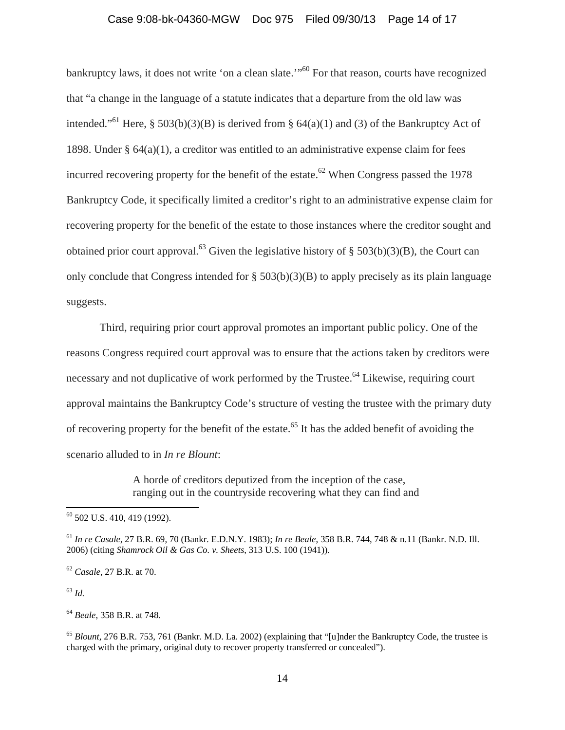## Case 9:08-bk-04360-MGW Doc 975 Filed 09/30/13 Page 14 of 17

bankruptcy laws, it does not write 'on a clean slate.'"<sup>60</sup> For that reason, courts have recognized that "a change in the language of a statute indicates that a departure from the old law was intended."<sup>61</sup> Here, § 503(b)(3)(B) is derived from § 64(a)(1) and (3) of the Bankruptcy Act of 1898. Under § 64(a)(1), a creditor was entitled to an administrative expense claim for fees incurred recovering property for the benefit of the estate.<sup>62</sup> When Congress passed the 1978 Bankruptcy Code, it specifically limited a creditor's right to an administrative expense claim for recovering property for the benefit of the estate to those instances where the creditor sought and obtained prior court approval.<sup>63</sup> Given the legislative history of § 503(b)(3)(B), the Court can only conclude that Congress intended for § 503(b)(3)(B) to apply precisely as its plain language suggests.

Third, requiring prior court approval promotes an important public policy. One of the reasons Congress required court approval was to ensure that the actions taken by creditors were necessary and not duplicative of work performed by the Trustee.<sup>64</sup> Likewise, requiring court approval maintains the Bankruptcy Code's structure of vesting the trustee with the primary duty of recovering property for the benefit of the estate.<sup>65</sup> It has the added benefit of avoiding the scenario alluded to in *In re Blount*:

> A horde of creditors deputized from the inception of the case, ranging out in the countryside recovering what they can find and

<sup>60 502</sup> U.S. 410, 419 (1992).

<sup>61</sup> *In re Casale*, 27 B.R. 69, 70 (Bankr. E.D.N.Y. 1983); *In re Beale*, 358 B.R. 744, 748 & n.11 (Bankr. N.D. Ill. 2006) (citing *Shamrock Oil & Gas Co. v. Sheets*, 313 U.S. 100 (1941)).

<sup>62</sup> *Casale*, 27 B.R. at 70.

<sup>64</sup> *Beale*, 358 B.R. at 748.

<sup>65</sup> *Blount*, 276 B.R. 753, 761 (Bankr. M.D. La. 2002) (explaining that "[u]nder the Bankruptcy Code, the trustee is charged with the primary, original duty to recover property transferred or concealed").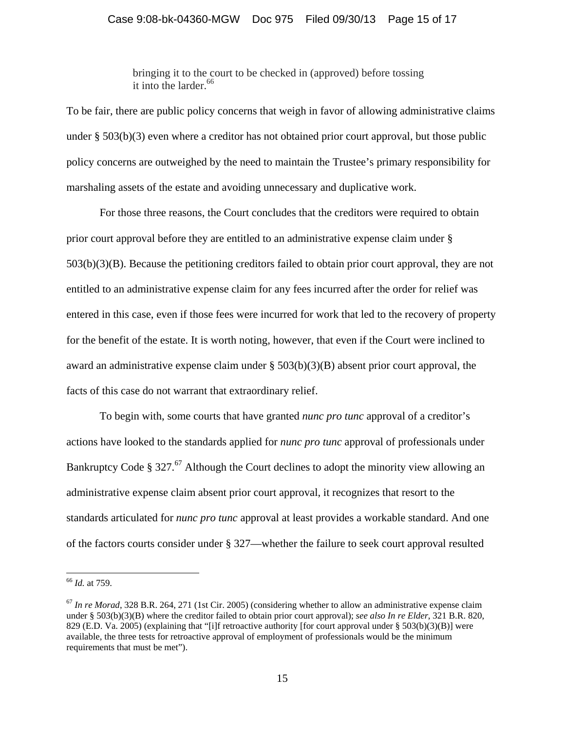bringing it to the court to be checked in (approved) before tossing it into the larder.<sup>66</sup>

To be fair, there are public policy concerns that weigh in favor of allowing administrative claims under § 503(b)(3) even where a creditor has not obtained prior court approval, but those public policy concerns are outweighed by the need to maintain the Trustee's primary responsibility for marshaling assets of the estate and avoiding unnecessary and duplicative work.

For those three reasons, the Court concludes that the creditors were required to obtain prior court approval before they are entitled to an administrative expense claim under § 503(b)(3)(B). Because the petitioning creditors failed to obtain prior court approval, they are not entitled to an administrative expense claim for any fees incurred after the order for relief was entered in this case, even if those fees were incurred for work that led to the recovery of property for the benefit of the estate. It is worth noting, however, that even if the Court were inclined to award an administrative expense claim under  $\S 503(b)(3)(B)$  absent prior court approval, the facts of this case do not warrant that extraordinary relief.

To begin with, some courts that have granted *nunc pro tunc* approval of a creditor's actions have looked to the standards applied for *nunc pro tunc* approval of professionals under Bankruptcy Code § 327.<sup>67</sup> Although the Court declines to adopt the minority view allowing an administrative expense claim absent prior court approval, it recognizes that resort to the standards articulated for *nunc pro tunc* approval at least provides a workable standard. And one of the factors courts consider under § 327—whether the failure to seek court approval resulted

<sup>66</sup> *Id.* at 759.

<sup>&</sup>lt;sup>67</sup> In re Morad, 328 B.R. 264, 271 (1st Cir. 2005) (considering whether to allow an administrative expense claim under § 503(b)(3)(B) where the creditor failed to obtain prior court approval); *see also In re Elder*, 321 B.R. 820, 829 (E.D. Va. 2005) (explaining that "[i]f retroactive authority [for court approval under § 503(b)(3)(B)] were available, the three tests for retroactive approval of employment of professionals would be the minimum requirements that must be met").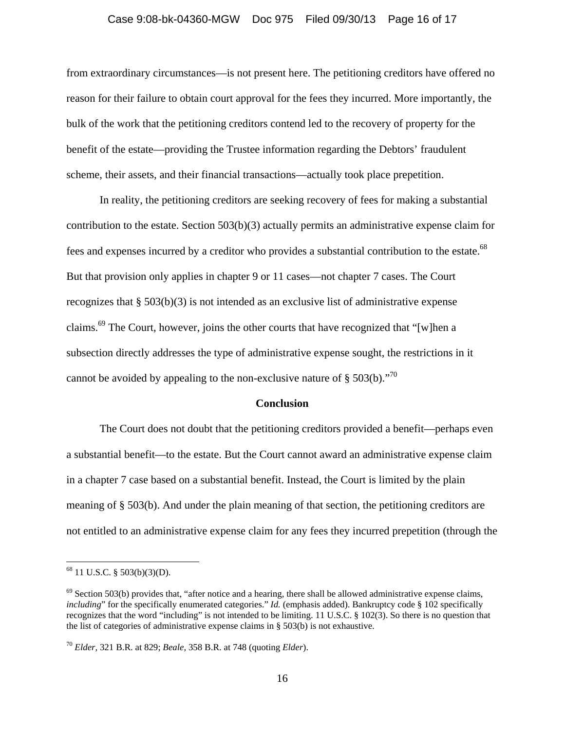#### Case 9:08-bk-04360-MGW Doc 975 Filed 09/30/13 Page 16 of 17

from extraordinary circumstances—is not present here. The petitioning creditors have offered no reason for their failure to obtain court approval for the fees they incurred. More importantly, the bulk of the work that the petitioning creditors contend led to the recovery of property for the benefit of the estate—providing the Trustee information regarding the Debtors' fraudulent scheme, their assets, and their financial transactions—actually took place prepetition.

In reality, the petitioning creditors are seeking recovery of fees for making a substantial contribution to the estate. Section  $503(b)(3)$  actually permits an administrative expense claim for fees and expenses incurred by a creditor who provides a substantial contribution to the estate.<sup>68</sup> But that provision only applies in chapter 9 or 11 cases—not chapter 7 cases. The Court recognizes that  $\S 503(b)(3)$  is not intended as an exclusive list of administrative expense claims.69 The Court, however, joins the other courts that have recognized that "[w]hen a subsection directly addresses the type of administrative expense sought, the restrictions in it cannot be avoided by appealing to the non-exclusive nature of  $\S 503(b)$ .<sup>70</sup>

#### **Conclusion**

The Court does not doubt that the petitioning creditors provided a benefit—perhaps even a substantial benefit—to the estate. But the Court cannot award an administrative expense claim in a chapter 7 case based on a substantial benefit. Instead, the Court is limited by the plain meaning of § 503(b). And under the plain meaning of that section, the petitioning creditors are not entitled to an administrative expense claim for any fees they incurred prepetition (through the

<sup>68 11</sup> U.S.C. § 503(b)(3)(D).

 $^{69}$  Section 503(b) provides that, "after notice and a hearing, there shall be allowed administrative expense claims, *including*" for the specifically enumerated categories." *Id.* (emphasis added). Bankruptcy code § 102 specifically recognizes that the word "including" is not intended to be limiting. 11 U.S.C. § 102(3). So there is no question that the list of categories of administrative expense claims in § 503(b) is not exhaustive.

<sup>70</sup> *Elder*, 321 B.R. at 829; *Beale*, 358 B.R. at 748 (quoting *Elder*).